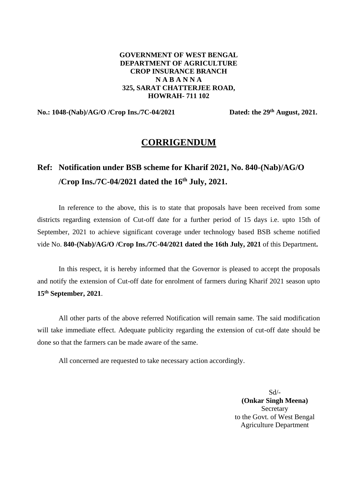#### **GOVERNMENT OF WEST BENGAL DEPARTMENT OF AGRICULTURE CROP INSURANCE BRANCH N A B A N N A 325, SARAT CHATTERJEE ROAD, HOWRAH- 711 102**

# **No.: 1048-(Nab)/AG/O /Crop Ins./7C-04/2021 Dated: the 29th August, 2021.**

# **CORRIGENDUM**

# **Ref: Notification under BSB scheme for Kharif 2021, No. 840-(Nab)/AG/O /Crop Ins./7C-04/2021 dated the 16th July, 2021.**

In reference to the above, this is to state that proposals have been received from some districts regarding extension of Cut-off date for a further period of 15 days i.e. upto 15th of September, 2021 to achieve significant coverage under technology based BSB scheme notified vide No. **840-(Nab)/AG/O /Crop Ins./7C-04/2021 dated the 16th July, 2021** of this Department**.**

In this respect, it is hereby informed that the Governor is pleased to accept the proposals and notify the extension of Cut-off date for enrolment of farmers during Kharif 2021 season upto **15th September, 2021**.

All other parts of the above referred Notification will remain same. The said modification will take immediate effect. Adequate publicity regarding the extension of cut-off date should be done so that the farmers can be made aware of the same.

All concerned are requested to take necessary action accordingly.

Sd/- **(Onkar Singh Meena) Secretary** to the Govt. of West Bengal Agriculture Department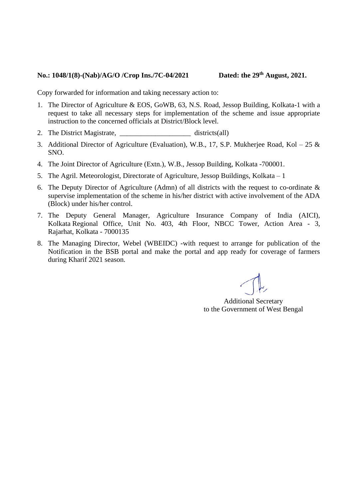#### **No.: 1048/1(8)-(Nab)/AG/O /Crop Ins./7C-04/2021 Dated: the 29th August, 2021.**

Copy forwarded for information and taking necessary action to:

- 1. The Director of Agriculture & EOS, GoWB, 63, N.S. Road, Jessop Building, Kolkata-1 with a request to take all necessary steps for implementation of the scheme and issue appropriate instruction to the concerned officials at District/Block level.
- 2. The District Magistrate,  $\qquad \qquad \text{distributions}$
- 3. Additional Director of Agriculture (Evaluation), W.B., 17, S.P. Mukherjee Road, Kol 25  $\&$ SNO.
- 4. The Joint Director of Agriculture (Extn.), W.B., Jessop Building, Kolkata -700001.
- 5. The Agril. Meteorologist, Directorate of Agriculture, Jessop Buildings, Kolkata 1
- 6. The Deputy Director of Agriculture (Admn) of all districts with the request to co-ordinate & supervise implementation of the scheme in his/her district with active involvement of the ADA (Block) under his/her control.
- 7. The Deputy General Manager, Agriculture Insurance Company of India (AICI), Kolkata Regional Office, Unit No. 403, 4th Floor, NBCC Tower, Action Area - 3, Rajarhat, Kolkata - 7000135
- 8. The Managing Director, Webel (WBEIDC) -with request to arrange for publication of the Notification in the BSB portal and make the portal and app ready for coverage of farmers during Kharif 2021 season.

Additional Secretary to the Government of West Bengal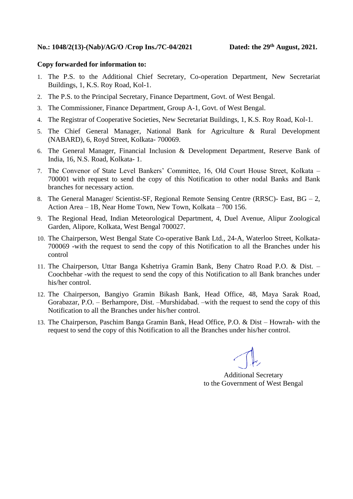#### **Copy forwarded for information to:**

- 1. The P.S. to the Additional Chief Secretary, Co-operation Department, New Secretariat Buildings, 1, K.S. Roy Road, Kol-1.
- 2. The P.S. to the Principal Secretary, Finance Department, Govt. of West Bengal.
- 3. The Commissioner, Finance Department, Group A-1, Govt. of West Bengal.
- 4. The Registrar of Cooperative Societies, New Secretariat Buildings, 1, K.S. Roy Road, Kol-1.
- 5. The Chief General Manager, National Bank for Agriculture & Rural Development (NABARD), 6, Royd Street, Kolkata- 700069.
- 6. The General Manager, Financial Inclusion & Development Department, Reserve Bank of India, 16, N.S. Road, Kolkata- 1.
- 7. The Convenor of State Level Bankers' Committee, 16, Old Court House Street, Kolkata 700001 with request to send the copy of this Notification to other nodal Banks and Bank branches for necessary action.
- 8. The General Manager/ Scientist-SF, Regional Remote Sensing Centre (RRSC)- East, BG 2, Action Area – 1B, Near Home Town, New Town, Kolkata – 700 156.
- 9. The Regional Head, Indian Meteorological Department, 4, Duel Avenue, Alipur Zoological Garden, Alipore, Kolkata, West Bengal 700027.
- 10. The Chairperson, West Bengal State Co-operative Bank Ltd., 24-A, Waterloo Street, Kolkata-700069 -with the request to send the copy of this Notification to all the Branches under his control
- 11. The Chairperson, Uttar Banga Kshetriya Gramin Bank, Beny Chatro Road P.O. & Dist. Coochbehar -with the request to send the copy of this Notification to all Bank branches under his/her control.
- 12. The Chairperson, Bangiyo Gramin Bikash Bank, Head Office, 48, Maya Sarak Road, Gorabazar, P.O. – Berhampore, Dist. –Murshidabad. –with the request to send the copy of this Notification to all the Branches under his/her control.
- 13. The Chairperson, Paschim Banga Gramin Bank, Head Office, P.O. & Dist Howrah- with the request to send the copy of this Notification to all the Branches under his/her control.

Additional Secretary to the Government of West Bengal